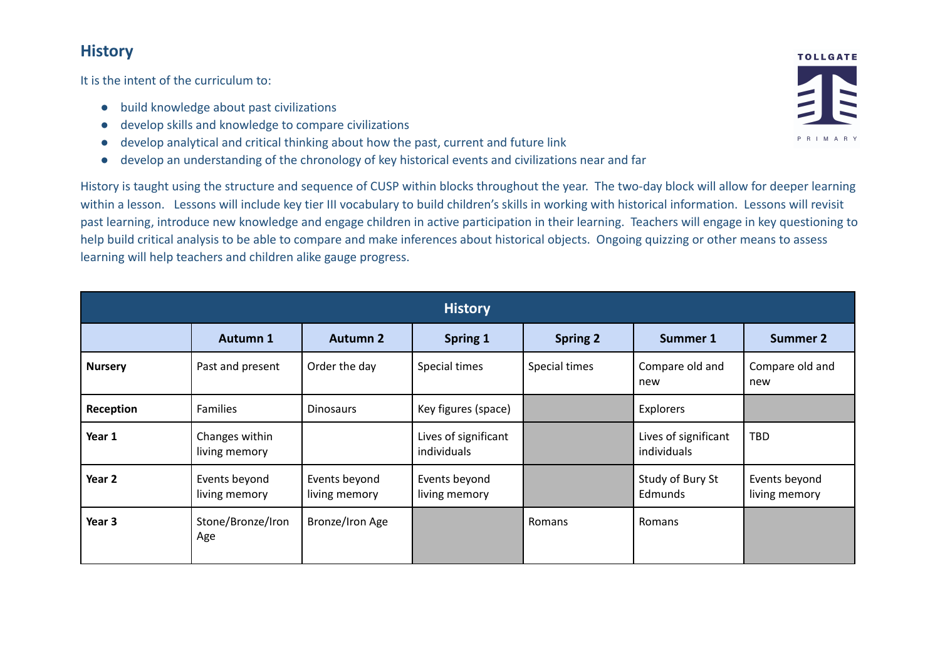## **History**

It is the intent of the curriculum to:

- build knowledge about past civilizations
- develop skills and knowledge to compare civilizations
- develop analytical and critical thinking about how the past, current and future link
- develop an understanding of the chronology of key historical events and civilizations near and far

History is taught using the structure and sequence of CUSP within blocks throughout the year. The two-day block will allow for deeper learning within a lesson. Lessons will include key tier III vocabulary to build children's skills in working with historical information. Lessons will revisit past learning, introduce new knowledge and engage children in active participation in their learning. Teachers will engage in key questioning to help build critical analysis to be able to compare and make inferences about historical objects. Ongoing quizzing or other means to assess learning will help teachers and children alike gauge progress.

| <b>History</b> |                                 |                                |                                     |                 |                                     |                                |  |  |  |  |
|----------------|---------------------------------|--------------------------------|-------------------------------------|-----------------|-------------------------------------|--------------------------------|--|--|--|--|
|                | Autumn 1                        | <b>Autumn 2</b>                | <b>Spring 1</b>                     | <b>Spring 2</b> | Summer 1                            | <b>Summer 2</b>                |  |  |  |  |
| <b>Nursery</b> | Past and present                | Order the day                  | Special times                       | Special times   | Compare old and<br>new              | Compare old and<br>new         |  |  |  |  |
| Reception      | <b>Families</b>                 | <b>Dinosaurs</b>               | Key figures (space)                 |                 | Explorers                           |                                |  |  |  |  |
| Year 1         | Changes within<br>living memory |                                | Lives of significant<br>individuals |                 | Lives of significant<br>individuals | <b>TBD</b>                     |  |  |  |  |
| Year 2         | Events beyond<br>living memory  | Events beyond<br>living memory | Events beyond<br>living memory      |                 | Study of Bury St<br>Edmunds         | Events beyond<br>living memory |  |  |  |  |
| Year 3         | Stone/Bronze/Iron<br>Age        | Bronze/Iron Age                |                                     | Romans          | Romans                              |                                |  |  |  |  |

**TOLLGATE**  $R$  | M A R